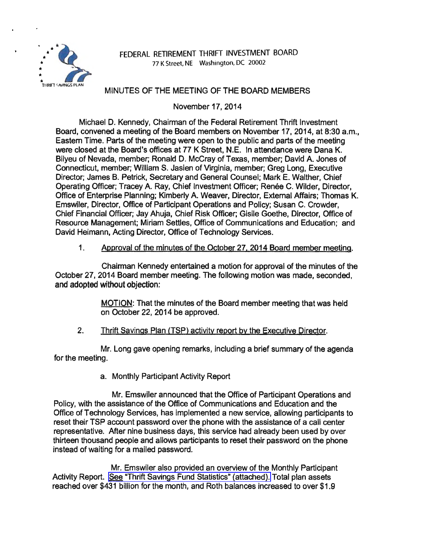

## FEDERAL RETIREMENT THRIFT INVESTMENT BOARD 77 K Street. NE Washington, DC 20002

# MINUTES OF THE MEETING OF THE BOARD MEMBERS

November 17, 2014

Michael D. Kennedy, Chairman of the Federal Retirement Thrift Investment Board, convened a meeting of the Board members on November 17, 2014, at 8:30 a.m., Eastern Time. Parts of the meeting were open to the public and parts of the meeting were closed at the Board's offices at 77 K Street, N.E. In attendance were Dana K. Bilyeu of Nevada, member; Ronald D. McCray of Texas, member; David A. Jones of Connecticut, member; William S. Jasien of Virginia, member; Greg Long, Executive Director; James B. Petrick, Secretary and General Counsel; Mark E. Walther, Chief Operating Officer; Tracey A. Ray, Chief Investment Officer; Renée C. Wilder, Director, Office of Enterprise Planning; Kimberly A. Weaver, Director, External Affairs; Thomas K. Emswiler, Director, Office of Participant Operations and Policy; Susan C. Crowder, Chief Financial Officer; Jay Ahuja, Chief Risk Officer; Gisile Goethe, Director, Office of Resource Management; Miriam Settles, Office of Communications and Education; and David Heimann, Acting Director, Office of Technology Services.

### 1. Approval of the minutes of the October 27. 2014 Board member meeting.

Chairman Kennedy entertained a motion for approval of the minutes of the October 27, 2014 Board member meeting. The following motion was made, seconded, and adopted without objection:

> MOTION: That the minutes of the Board member meeting that was held on October 22, 2014 be approved.

### 2. Thrift Savings Plan (TSP) activity report by the Executive Director.

Mr. Long gave opening remarks, including a brief summary of the agenda for the meeting.

a. Monthly Participant Activity Report

Mr. Emswiler announced that the Office of Participant Operations and Policy, with the assistance of the Office of Communications and Education and the Office of Technology Services, has implemented a new service, allowing participants to reset their TSP account password over the phone with the assistance of a call center representative. After nine business days, this service had already been used by over thirteen thousand people and allows participants to reset their password on the phone instead of waiting for a mailed password.

Mr. Emswiler also provided an overview of the Monthly Participant Activity Report. [See "Thrift Savings Fund Statistics" \(attached\).](http://www.frtib.gov/pdf/minutes/MM-2014Nov-Att1.pdf) Total plan assets reached over \$431 billion for the month, and Roth balances increased to over \$1.9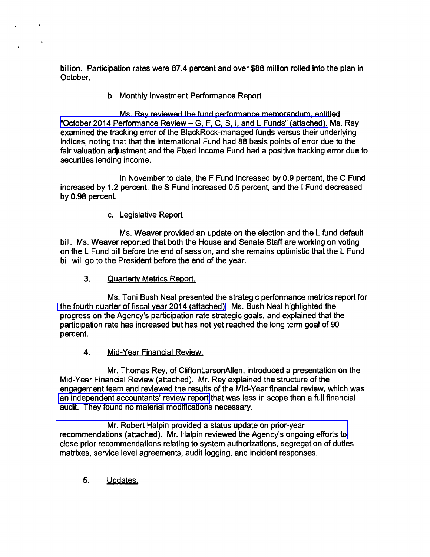billion. Participation rates were 87.4 percent and over \$88 million rolled into the plan in October.

b. Monthly Investment Performance Report

Ms. Ray reviewed the fund performance memorandum, entitled ["October 2014 Performance Review-](http://www.frtib.gov/pdf/minutes/MM-2014Nov-Att2.pdf) G, F, C, S, I, and L Funds" (attached). Ms. Ray examined the tracking error of the BlackRock-managed funds versus their underlying indices, noting that that the International Fund had 88 basis points of error due to the fair valuation adjustment and the Fixed Income Fund had a positive tracking error due to securities lending income.

In November to date, the F Fund increased by 0.9 percent, the C Fund increased by 1.2 percent, the S Fund increased 0.5 percent, and the I Fund decreased by 0.98 percent.

c. Legislative Report

Ms. Weaver provided an update on the election and the L fund default bill. Ms. Weaver reported that both the House and Senate Staff are working on voting on the L Fund bill before the end of session, and she remains optimistic that the L Fund bill will go to the President before the end of the year.

3. Quarterly Metrics Report.

Ms. Toni Bush Neal presented the strategic performance metrics report for [the fourth quarter of fiscal year 2014 \(attached\).](http://www.frtib.gov/pdf/minutes/MM-2014Nov-Att3.pdf) Ms. Bush Neal highlighted the progress on the Agency's participation rate strategic goals, and explained that the participation rate has increased but has not yet reached the long term goal of 90 percent.

4. Mid-Year Financial Review.

Mr. Thomas Rey, of CliftonLarsonAllen, introduced a presentation on the [Mid-Year Financial Review \(attached\).](http://www.frtib.gov/pdf/minutes/MM-2014Nov-Att4.pdf) Mr. Rey explained the structure of the engagement team and reviewed the results of the Mid-Year financial review, which was [an independent accountants' review report](http://www.frtib.gov/pdf/minutes/MM-2014Nov-Att5.pdf) that was less in scope than a full financial audit. They found no material modifications necessary.

Mr. Robert Halpin provided a status update on prior-year [recommendations \(attached\). Mr. Halpin reviewed the Agency's ongoing efforts to](http://www.frtib.gov/pdf/minutes/MM-2014Nov-Att6.pdf)  close prior recommendations relating to system authorizations, segregation of duties matrixes, service level agreements, audit logging, and incident responses.

5. Updates.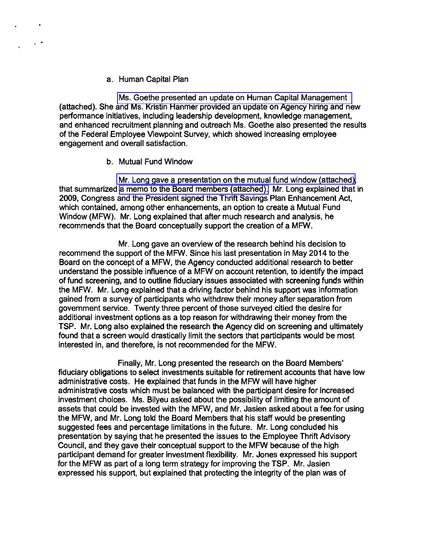#### a. Human Capital Plan

[Ms. Goethe presented an update on Human Capital Management](http://www.frtib.gov/pdf/minutes/MM-2014Nov-Att7.pdf)  (attached). She and Ms. Kristin Hanmer provided an update on Agency hiring and new performance initiatives, including leadership development, knowledge management, and enhanced recruitment planning and outreach Ms. Goethe also presented the results of the Federal Employee Viewpoint Survey, which showed increasing employee engagement and overall satisfaction.

#### b. Mutual Fund Window

[Mr. Long gave a presentation on the mutual fund window \(attached\),](http://www.frtib.gov/pdf/minutes/MM-2014Nov-Att9.pdf) that summarized [a memo to the Board members \(attached\).](http://www.frtib.gov/pdf/minutes/MM-2014Nov-Att8.pdf) Mr. Long explained that in 2009, Congress and the President signed the Thrift Savings Plan Enhancement Act, which contained, among other enhancements, an option to create a Mutual Fund Window (MFW). Mr. Long explained that after much research and analysis, he recommends that the Board conceptually support the creation of a MFW.

Mr. Long gave an overview of the research behind his decision to recommend the support of the MFW. Since his last presentation in May 2014 to the Board on the concept of a MFW, the Agency conducted additional research to better understand the possible influence of a MFW on account retention, to identify the impact of fund screening, and to outline fiduciary issues associated with screening funds within the MFW. Mr. Long explained that a driving factor behind his support was information gained from a survey of participants who withdrew their money after separation from government service. Twenty three percent of those surveyed citied the desire for additional investment options as a top reason for withdrawing their money from the TSP. Mr. Long also explained the research the Agency did on screening and ultimately found that a screen would drastically limit the sectors that participants would be most interested in, and therefore, is not recommended for the MFW.

Finally, Mr. Long presented the research on the Board Members' fiduciary obligations to select investments suitable for retirement accounts that have low administrative costs. He explained that funds in the MFW will have higher administrative costs which must be balanced with the participant desire for increased investment choices. Ms. Bilyeu asked about the possibility of limiting the amount of assets that could be invested with the MFW, and Mr. Jasien asked about a fee for using the MFW, and Mr. Long told the Board Members that his staff would be presenting suggested fees and percentage limitations in the future. Mr. Long concluded his presentation by saying that he presented the issues to the Employee Thrift Advisory Council, and they gave their conceptual support to the MFW because of the high participant demand for greater investment flexibility. Mr. Jones expressed his support for the MFW as part of a long term strategy for improving the TSP. Mr. Jasien expressed his support, but explained that protecting the integrity of the plan was of